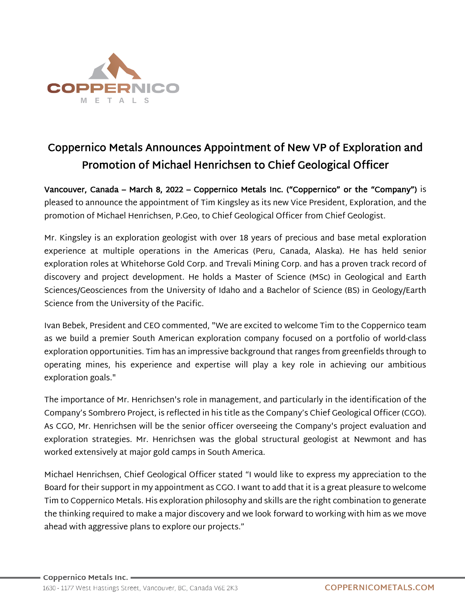

## Coppernico Metals Announces Appointment of New VP of Exploration and Promotion of Michael Henrichsen to Chief Geological Officer

Vancouver, Canada – March 8, 2022 – Coppernico Metals Inc. ("Coppernico" or the "Company") is pleased to announce the appointment of Tim Kingsley as its new Vice President, Exploration, and the promotion of Michael Henrichsen, P.Geo, to Chief Geological Officer from Chief Geologist.

Mr. Kingsley is an exploration geologist with over 18 years of precious and base metal exploration experience at multiple operations in the Americas (Peru, Canada, Alaska). He has held senior exploration roles at Whitehorse Gold Corp. and Trevali Mining Corp. and has a proven track record of discovery and project development. He holds a Master of Science (MSc) in Geological and Earth Sciences/Geosciences from the University of Idaho and a Bachelor of Science (BS) in Geology/Earth Science from the University of the Pacific.

Ivan Bebek, President and CEO commented, "We are excited to welcome Tim to the Coppernico team as we build a premier South American exploration company focused on a portfolio of world-class exploration opportunities. Tim has an impressive background that ranges from greenfields through to operating mines, his experience and expertise will play a key role in achieving our ambitious exploration goals."

The importance of Mr. Henrichsen's role in management, and particularly in the identification of the Company's Sombrero Project, is reflected in his title as the Company's Chief Geological Officer (CGO). As CGO, Mr. Henrichsen will be the senior officer overseeing the Company's project evaluation and exploration strategies. Mr. Henrichsen was the global structural geologist at Newmont and has worked extensively at major gold camps in South America.

Michael Henrichsen, Chief Geological Officer stated "I would like to express my appreciation to the Board for their support in my appointment as CGO. I want to add that it is a great pleasure to welcome Tim to Coppernico Metals. His exploration philosophy and skills are the right combination to generate the thinking required to make a major discovery and we look forward to working with him as we move ahead with aggressive plans to explore our projects."